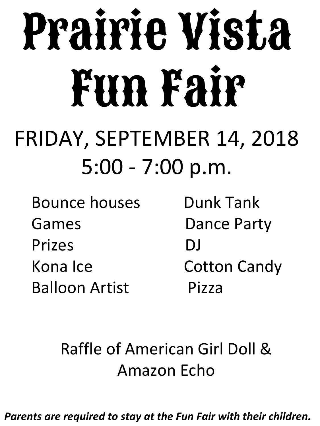# Prairie Vista Fun Fair

## FRIDAY, SEPTEMBER 14, 2018 5:00 - 7:00 p.m.

Bounce houses Dunk Tank Games Dance Party Prizes DJ Kona Ice **Cotton Candy** Balloon Artist Pizza

#### Raffle of American Girl Doll & Amazon Echo

*Parents are required to stay at the Fun Fair with their children.*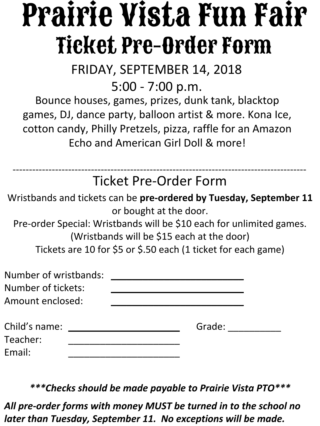## Prairie Vista Fun Fair Ticket Pre-Order Form

FRIDAY, SEPTEMBER 14, 2018

5:00 - 7:00 p.m.

Bounce houses, games, prizes, dunk tank, blacktop games, DJ, dance party, balloon artist & more. Kona Ice, cotton candy, Philly Pretzels, pizza, raffle for an Amazon Echo and American Girl Doll & more!

Ticket Pre-Order Form ------------------------------------------------------------------------------------------

Wristbands and tickets can be **pre-ordered by Tuesday, September 11** or bought at the door.

Pre-order Special: Wristbands will be \$10 each for unlimited games. (Wristbands will be \$15 each at the door) Tickets are 10 for \$5 or \$.50 each (1 ticket for each game)

| Number of wristbands:<br>Number of tickets:<br>Amount enclosed: |        |
|-----------------------------------------------------------------|--------|
| Child's name:<br>Teacher:<br>Email:                             | Grade: |

*\*\*\*Checks should be made payable to Prairie Vista PTO\*\*\**

*All pre-order forms with money MUST be turned in to the school no later than Tuesday, September 11. No exceptions will be made.*